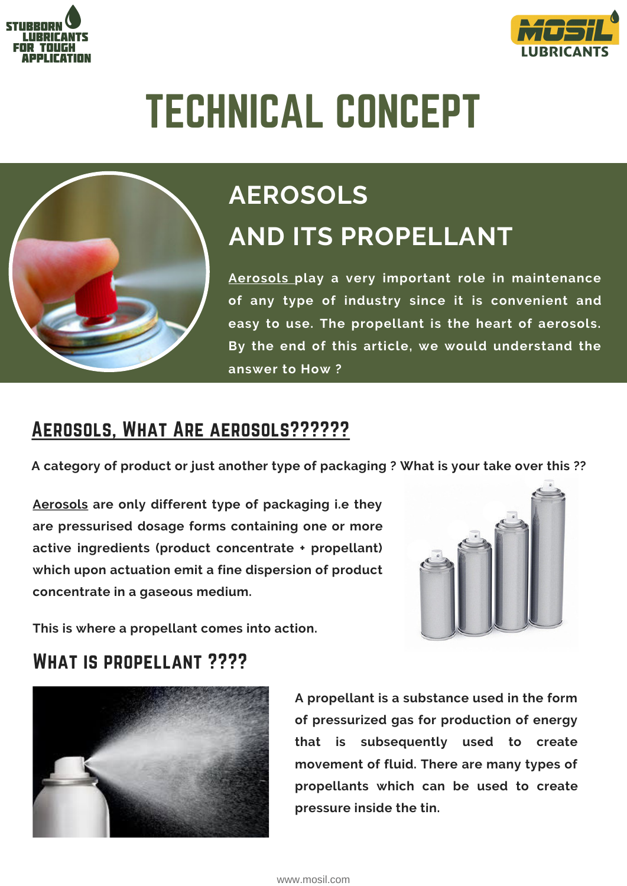



# TECHNICAL CONCEPT



# **AEROSOLS AND ITS PROPELLANT**

**[Aerosols](https://www.mosil.com/product/30/aerosol) play a very important role in maintenance of any type of industry since it is convenient and easy to use. The propellant is the heart of aerosols. By the end of this article, we would understand the answer to How ?**

# Aerosols, What Are [aerosols??????](https://www.mosil.com/blog/aerosols-principle-techniques-and-application/)

**A category of product or just another type of packaging ? What is your take over this ??**

**[Aerosols](https://www.mosil.com/product/30/aerosol) are only different type of packaging i.e they are pressurised dosage forms containing one or more active ingredients (product concentrate + propellant) which upon actuation emit a fine dispersion of product concentrate in a gaseous medium.**



**This is where a propellant comes into action.**

# What is propellant ????



**A propellant is a substance used in the form of pressurized gas for production of energy that is subsequently used to create movement of fluid. There are many types of propellants which can be used to create pressure inside the tin.**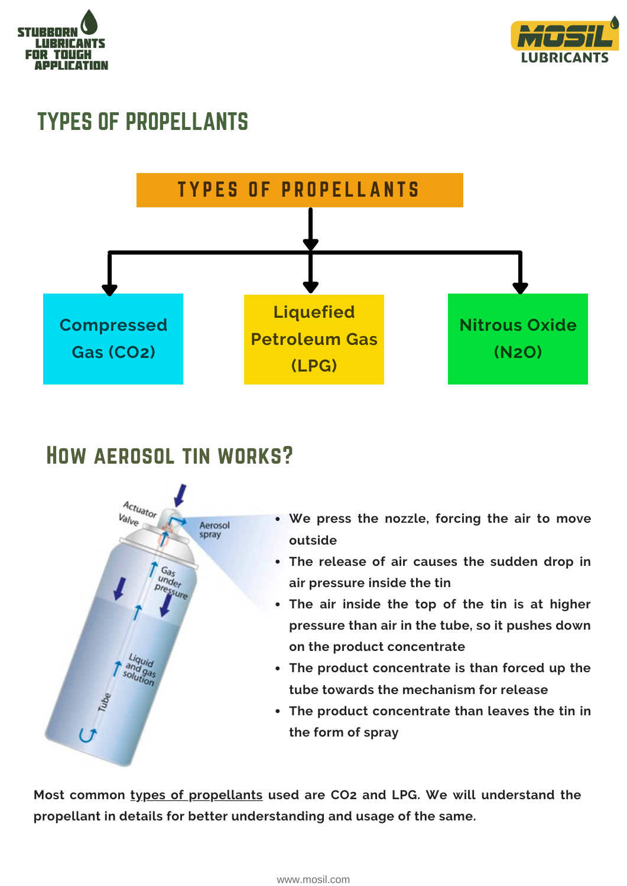



# TYPES OF PROPELLANTS



# How aerosol tin works?



- **We press the nozzle, forcing the air to move outside**
- **The release of air causes the sudden drop in air pressure inside the tin**
- **The air inside the top of the tin is at higher pressure than air in the tube, so it pushes down on the product concentrate**
- **The product concentrate is than forced up the tube towards the mechanism for release**
- **The product concentrate than leaves the tin in the form of spray**

**Most common types of [propellants](https://www.mosil.com/blog/aerosols-principle-techniques-and-application/) used are CO2 and LPG. We will understand the propellant in details for better understanding and usage of the same.**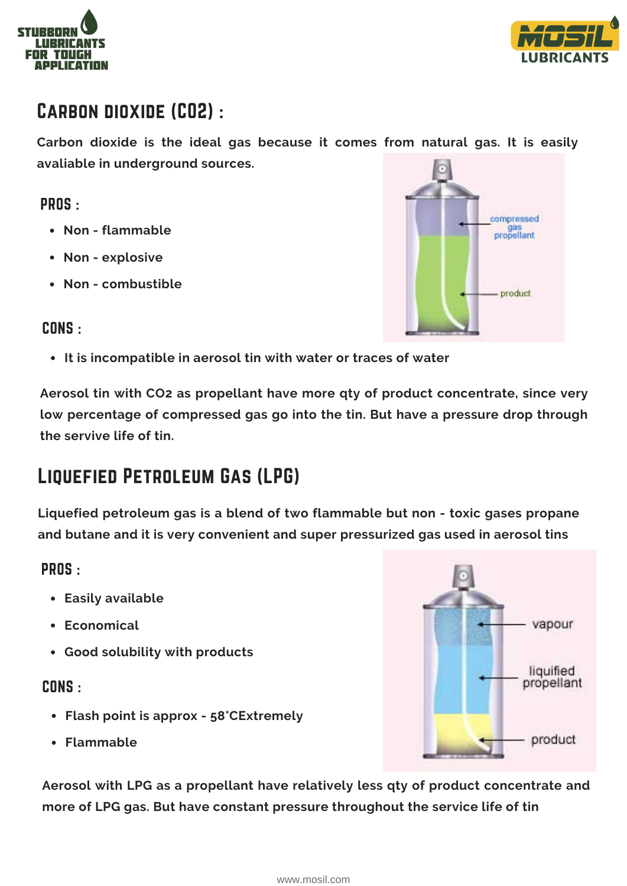



# Carbon dioxide (CO2) :

**Carbon dioxide is the ideal gas because it comes from natural gas. It is easily avaliable in underground sources.**

#### PROS :

- **Non - flammable**
- **Non - explosive**
- **Non - combustible**



#### CONS :

**It is incompatible in aerosol tin with water or traces of water**

**Aerosol tin with CO2 as propellant have more qty of product concentrate, since very low percentage of compressed gas go into the tin. But have a pressure drop through the servive life of tin.**

# Liquefied Petroleum Gas (LPG)

**Liquefied petroleum gas is a blend of two flammable but non - toxic gases propane and butane and it is very convenient and super pressurized gas used in aerosol tins**

#### PROS :

- **Easily available**
- **Economical**
- **Good solubility with products**

#### CONS :

- **Flash point is approx - 58°CExtremely**
- **Flammable**

vapour liquified propellant product

**Aerosol with LPG as a propellant have relatively less qty of product concentrate and more of LPG gas. But have constant pressure throughout the service life of tin**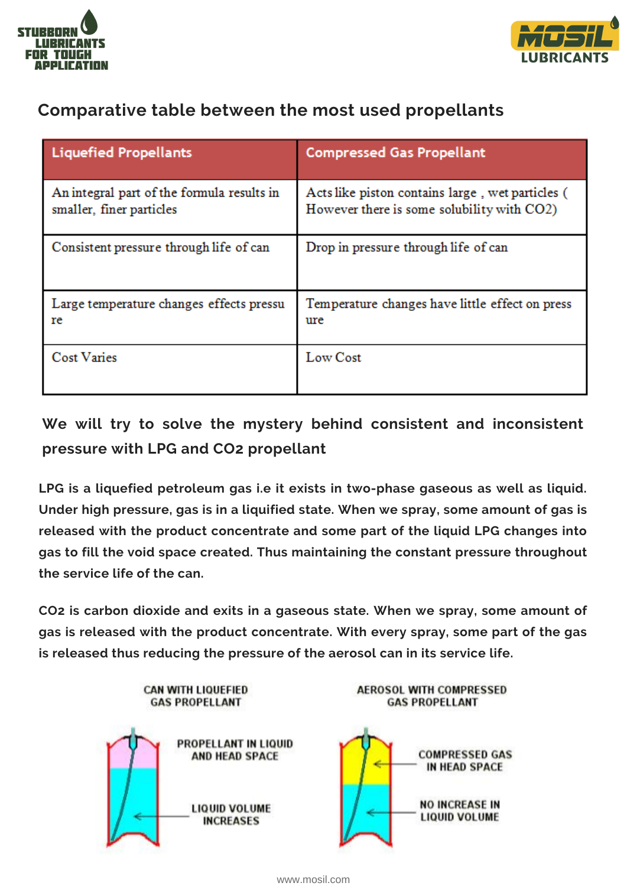



#### **Comparative table between the most used propellants**

| <b>Liquefied Propellants</b>                                           | <b>Compressed Gas Propellant</b>                                                               |
|------------------------------------------------------------------------|------------------------------------------------------------------------------------------------|
| An integral part of the formula results in<br>smaller, finer particles | Acts like piston contains large, wet particles (<br>However there is some solubility with CO2) |
| Consistent pressure through life of can                                | Drop in pressure through life of can                                                           |
| Large temperature changes effects pressu<br>re                         | Temperature changes have little effect on press<br>ure                                         |
| <b>Cost Varies</b>                                                     | Low Cost                                                                                       |

### **We will try to solve the mystery behind consistent and inconsistent pressure with LPG and CO2 propellant**

**LPG is a liquefied petroleum gas i.e it exists in two-phase gaseous as well as liquid. Under high pressure, gas is in a liquified state. When we spray, some amount of gas is released with the product concentrate and some part of the liquid LPG changes into gas to fill the void space created. Thus maintaining the constant pressure throughout the service life of the can.**

**CO2 is carbon dioxide and exits in a gaseous state. When we spray, some amount of gas is released with the product concentrate. With every spray, some part of the gas is released thus reducing the pressure of the aerosol can in its service life.**



[www.mosil.com](https://www.mosil.in/)